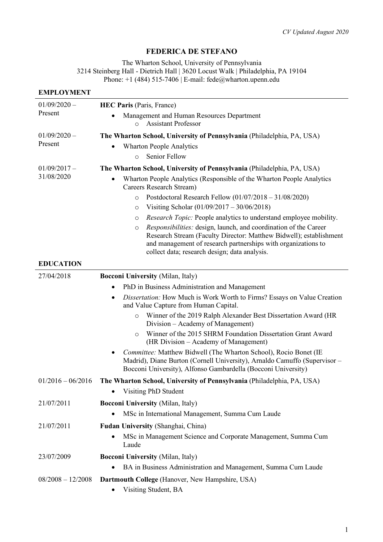# **FEDERICA DE STEFANO**

The Wharton School, University of Pennsylvania 3214 Steinberg Hall - Dietrich Hall | 3620 Locust Walk | Philadelphia, PA 19104 Phone:  $+1$  (484) 515-7406 | E-mail: fede@wharton.upenn.edu

#### **EMPLOYMENT**

| $01/09/2020 -$<br>Present | <b>HEC Paris (Paris, France)</b>                                                                                                                                                                                                                              |
|---------------------------|---------------------------------------------------------------------------------------------------------------------------------------------------------------------------------------------------------------------------------------------------------------|
|                           | Management and Human Resources Department<br><b>Assistant Professor</b><br>$\Omega$                                                                                                                                                                           |
| $01/09/2020 -$<br>Present | The Wharton School, University of Pennsylvania (Philadelphia, PA, USA)                                                                                                                                                                                        |
|                           | <b>Wharton People Analytics</b>                                                                                                                                                                                                                               |
|                           | Senior Fellow<br>$\circ$                                                                                                                                                                                                                                      |
| $01/09/2017 -$            | The Wharton School, University of Pennsylvania (Philadelphia, PA, USA)                                                                                                                                                                                        |
| 31/08/2020                | Wharton People Analytics (Responsible of the Wharton People Analytics<br>Careers Research Stream)                                                                                                                                                             |
|                           | Postdoctoral Research Fellow $(01/07/2018 - 31/08/2020)$<br>$\circ$                                                                                                                                                                                           |
|                           | Visiting Scholar (01/09/2017 – 30/06/2018)<br>O                                                                                                                                                                                                               |
|                           | Research Topic: People analytics to understand employee mobility.<br>O                                                                                                                                                                                        |
|                           | Responsibilities: design, launch, and coordination of the Career<br>O<br>Research Stream (Faculty Director: Matthew Bidwell); establishment<br>and management of research partnerships with organizations to<br>collect data; research design; data analysis. |
| <b>EDUCATION</b>          |                                                                                                                                                                                                                                                               |
| 27/04/2018                | <b>Bocconi University (Milan, Italy)</b>                                                                                                                                                                                                                      |
|                           | PhD in Business Administration and Management                                                                                                                                                                                                                 |
|                           | Dissertation: How Much is Work Worth to Firms? Essays on Value Creation<br>$\bullet$<br>and Value Capture from Human Capital.                                                                                                                                 |
|                           | Winner of the 2019 Ralph Alexander Best Dissertation Award (HR<br>$\circ$<br>Division – Academy of Management)                                                                                                                                                |
|                           | Winner of the 2015 SHRM Foundation Dissertation Grant Award<br>$\circ$<br>(HR Division – Academy of Management)                                                                                                                                               |
|                           | Committee: Matthew Bidwell (The Wharton School), Rocio Bonet (IE<br>Madrid), Diane Burton (Cornell University), Arnaldo Camuffo (Supervisor -<br>Bocconi University), Alfonso Gambardella (Bocconi University)                                                |
| $01/2016 - 06/2016$       | The Wharton School, University of Pennsylvania (Philadelphia, PA, USA)                                                                                                                                                                                        |
|                           | Visiting PhD Student                                                                                                                                                                                                                                          |
| 21/07/2011                | <b>Bocconi University (Milan, Italy)</b>                                                                                                                                                                                                                      |
|                           | MSc in International Management, Summa Cum Laude                                                                                                                                                                                                              |
| 21/07/2011                | Fudan University (Shanghai, China)                                                                                                                                                                                                                            |
|                           | MSc in Management Science and Corporate Management, Summa Cum<br>Laude                                                                                                                                                                                        |
| 23/07/2009                | <b>Bocconi University (Milan, Italy)</b>                                                                                                                                                                                                                      |
|                           | BA in Business Administration and Management, Summa Cum Laude                                                                                                                                                                                                 |
| $08/2008 - 12/2008$       | Dartmouth College (Hanover, New Hampshire, USA)                                                                                                                                                                                                               |
|                           | Visiting Student, BA                                                                                                                                                                                                                                          |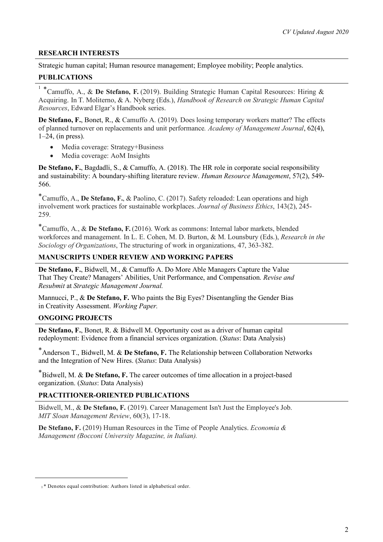### **RESEARCH INTERESTS**

Strategic human capital; Human resource management; Employee mobility; People analytics.

### **PUBLICATIONS**

<sup>1</sup> \*Camuffo, A., & **De Stefano, F.** (2019). Building Strategic Human Capital Resources: Hiring & Acquiring. In T. Moliterno, & A. Nyberg (Eds.), *Handbook of Research on Strategic Human Capital Resources*, Edward Elgar's Handbook series.

**De Stefano, F.**, Bonet, R., & Camuffo A. (2019). Does losing temporary workers matter? The effects of planned turnover on replacements and unit performance*. Academy of Management Journal*, 62(4),  $1-24$ , (in press).

- Media coverage: Strategy+Business
- Media coverage: AoM Insights

**De Stefano, F.**, Bagdadli, S., & Camuffo, A. (2018). The HR role in corporate social responsibility and sustainability: A boundary-shifting literature review. *Human Resource Management*, 57(2), 549- 566.

\*Camuffo, A., **De Stefano, F.**, & Paolino, C. (2017). Safety reloaded: Lean operations and high involvement work practices for sustainable workplaces. *Journal of Business Ethics*, 143(2), 245- 259.

\*Camuffo, A., & **De Stefano, F.** (2016). Work as commons: Internal labor markets, blended workforces and management. In L. E. Cohen, M. D. Burton, & M. Lounsbury (Eds.), *Research in the Sociology of Organizations*, The structuring of work in organizations, 47, 363-382.

### **MANUSCRIPTS UNDER REVIEW AND WORKING PAPERS**

**De Stefano, F.**, Bidwell, M., & Camuffo A. Do More Able Managers Capture the Value That They Create? Managers' Abilities, Unit Performance, and Compensation. *Revise and Resubmit* at *Strategic Management Journal.* 

Mannucci, P., & **De Stefano, F.** Who paints the Big Eyes? Disentangling the Gender Bias in Creativity Assessment. *Working Paper.*

### **ONGOING PROJECTS**

 $\overline{a}$ 

**De Stefano, F.**, Bonet, R. & Bidwell M. Opportunity cost as a driver of human capital redeployment: Evidence from a financial services organization. (*Status*: Data Analysis)

\*Anderson T., Bidwell, M. & **De Stefano, F.** The Relationship between Collaboration Networks and the Integration of New Hires. (*Status*: Data Analysis)

\*Bidwell, M. & **De Stefano, F.** The career outcomes of time allocation in a project-based organization. (*Status*: Data Analysis)

### **PRACTITIONER-ORIENTED PUBLICATIONS**

Bidwell, M., & **De Stefano, F.** (2019). Career Management Isn't Just the Employee's Job. *MIT Sloan Management Review*, 60(3), 17-18.

**De Stefano, F.** (2019) Human Resources in the Time of People Analytics. *Economia & Management (Bocconi University Magazine, in Italian).* 

<sup>&</sup>lt;sup>1</sup> \* Denotes equal contribution: Authors listed in alphabetical order.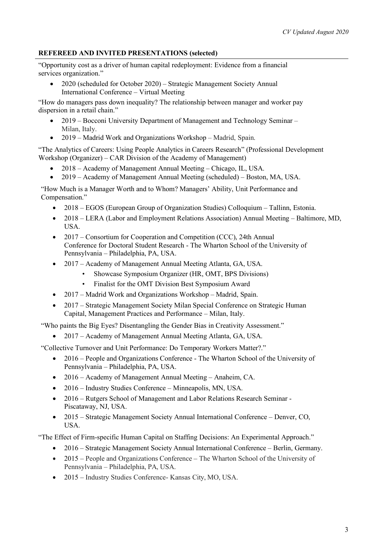## **REFEREED AND INVITED PRESENTATIONS (selected)**

"Opportunity cost as a driver of human capital redeployment: Evidence from a financial services organization."

• 2020 (scheduled for October 2020) – Strategic Management Society Annual International Conference – Virtual Meeting

"How do managers pass down inequality? The relationship between manager and worker pay dispersion in a retail chain."

- 2019 Bocconi University Department of Management and Technology Seminar Milan, Italy.
- 2019 Madrid Work and Organizations Workshop Madrid, Spain.

"The Analytics of Careers: Using People Analytics in Careers Research" (Professional Development Workshop (Organizer) – CAR Division of the Academy of Management)

- 2018 Academy of Management Annual Meeting Chicago, IL, USA.
- 2019 Academy of Management Annual Meeting (scheduled) Boston, MA, USA.

"How Much is a Manager Worth and to Whom? Managers' Ability, Unit Performance and Compensation."

- 2018 EGOS (European Group of Organization Studies) Colloquium Tallinn, Estonia.
- 2018 LERA (Labor and Employment Relations Association) Annual Meeting Baltimore, MD, USA.
- 2017 Consortium for Cooperation and Competition (CCC), 24th Annual Conference for Doctoral Student Research - The Wharton School of the University of Pennsylvania – Philadelphia, PA, USA.
- 2017 Academy of Management Annual Meeting Atlanta, GA, USA.
	- Showcase Symposium Organizer (HR, OMT, BPS Divisions)
	- Finalist for the OMT Division Best Symposium Award
- 2017 Madrid Work and Organizations Workshop Madrid, Spain.
- 2017 Strategic Management Society Milan Special Conference on Strategic Human Capital, Management Practices and Performance – Milan, Italy.

"Who paints the Big Eyes? Disentangling the Gender Bias in Creativity Assessment."

• 2017 – Academy of Management Annual Meeting Atlanta, GA, USA.

"Collective Turnover and Unit Performance: Do Temporary Workers Matter?."

- 2016 People and Organizations Conference The Wharton School of the University of Pennsylvania – Philadelphia, PA, USA.
- 2016 Academy of Management Annual Meeting Anaheim, CA.
- 2016 Industry Studies Conference Minneapolis, MN, USA.
- 2016 Rutgers School of Management and Labor Relations Research Seminar -Piscataway, NJ, USA.
- 2015 Strategic Management Society Annual International Conference Denver, CO, USA.

"The Effect of Firm-specific Human Capital on Staffing Decisions: An Experimental Approach."

- 2016 Strategic Management Society Annual International Conference Berlin, Germany.
- 2015 People and Organizations Conference The Wharton School of the University of Pennsylvania – Philadelphia, PA, USA.
- 2015 Industry Studies Conference- Kansas City, MO, USA.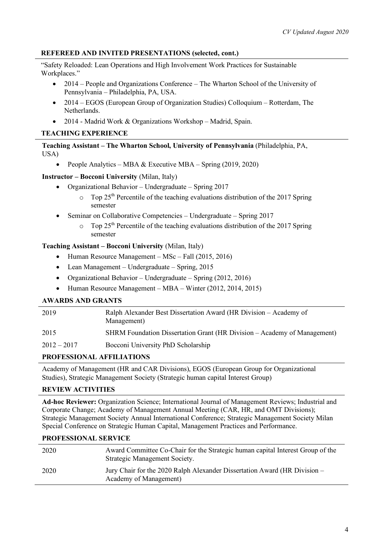## **REFEREED AND INVITED PRESENTATIONS (selected, cont.)**

"Safety Reloaded: Lean Operations and High Involvement Work Practices for Sustainable Workplaces."

- 2014 People and Organizations Conference The Wharton School of the University of Pennsylvania – Philadelphia, PA, USA.
- 2014 EGOS (European Group of Organization Studies) Colloquium Rotterdam, The **Netherlands**
- 2014 Madrid Work & Organizations Workshop Madrid, Spain.

# **TEACHING EXPERIENCE**

**Teaching Assistant – The Wharton School, University of Pennsylvania** (Philadelphia, PA, USA)

• People Analytics – MBA & Executive MBA – Spring (2019, 2020)

### **Instructor – Bocconi University** (Milan, Italy)

- Organizational Behavior Undergraduate Spring 2017
	- Top  $25<sup>th</sup>$  Percentile of the teaching evaluations distribution of the 2017 Spring semester
- Seminar on Collaborative Competencies Undergraduate Spring 2017
	- Top  $25<sup>th</sup>$  Percentile of the teaching evaluations distribution of the 2017 Spring semester

## **Teaching Assistant – Bocconi University** (Milan, Italy)

- Human Resource Management MSc Fall (2015, 2016)
- Lean Management Undergraduate Spring, 2015
- Organizational Behavior Undergraduate Spring (2012, 2016)
- Human Resource Management MBA Winter (2012, 2014, 2015)

### **AWARDS AND GRANTS**

| 2019                 | Ralph Alexander Best Dissertation Award (HR Division – Academy of<br>Management) |
|----------------------|----------------------------------------------------------------------------------|
| 2015                 | SHRM Foundation Dissertation Grant (HR Division – Academy of Management)         |
| $2012 - 2017$        | Bocconi University PhD Scholarship                                               |
| <b>BBQBBQQYQXIII</b> |                                                                                  |

### **PROFESSIONAL AFFILIATIONS**

Academy of Management (HR and CAR Divisions), EGOS (European Group for Organizational Studies), Strategic Management Society (Strategic human capital Interest Group)

### **REVIEW ACTIVITIES**

**Ad-hoc Reviewer:** Organization Science; International Journal of Management Reviews; Industrial and Corporate Change; Academy of Management Annual Meeting (CAR, HR, and OMT Divisions); Strategic Management Society Annual International Conference; Strategic Management Society Milan Special Conference on Strategic Human Capital, Management Practices and Performance.

### **PROFESSIONAL SERVICE**

| 2020 | Award Committee Co-Chair for the Strategic human capital Interest Group of the<br>Strategic Management Society. |
|------|-----------------------------------------------------------------------------------------------------------------|
| 2020 | Jury Chair for the 2020 Ralph Alexander Dissertation Award (HR Division –<br>Academy of Management)             |